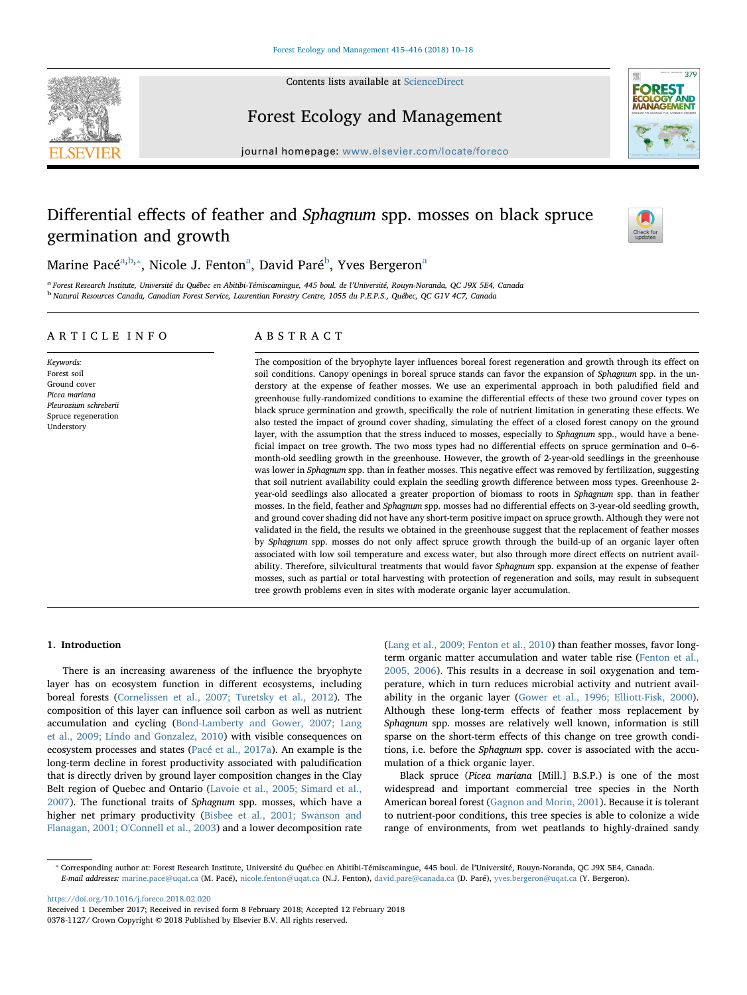

Contents lists available at ScienceDirect



# Forest Ecology and Management

journal homepage: www.elsevier.com/locate/foreco

# Differential effects of feather and Sphagnum spp. mosses on black spruce germination and growth



Marine Pacé<sup>a,b,</sup>\*, Nicole J. Fenton<sup>a</sup>, David Paré<sup>b</sup>, Yves Bergeron<sup>a</sup>

<sup>a</sup> Forest Research Institute, Université du Québec en Abitibi-Témiscamingue, 445 boul. de l'Université, Rouyn-Noranda, QC J9X 5E4, Canada<br><sup>b</sup> Natural Resources Canada, Canadian Forest Service, Laurentian Forestry Centre,

# ARTICLE INFO

Keywords: Forest soil Ground cover Picea mariana Pleurozium schreberii Spruce regeneration Understory

# ABSTRACT

The composition of the bryophyte layer influences boreal forest regeneration and growth through its effect on soil conditions. Canopy openings in boreal spruce stands can favor the expansion of Sphagnum spp. in the understory at the expense of feather mosses. We use an experimental approach in both paludified field and greenhouse fully-randomized conditions to examine the differential effects of these two ground cover types on black spruce germination and growth, specifically the role of nutrient limitation in generating these effects. We also tested the impact of ground cover shading, simulating the effect of a closed forest canopy on the ground layer, with the assumption that the stress induced to mosses, especially to Sphagnum spp., would have a beneficial impact on tree growth. The two moss types had no differential effects on spruce germination and 0–6 month-old seedling growth in the greenhouse. However, the growth of 2-year-old seedlings in the greenhouse was lower in Sphagnum spp. than in feather mosses. This negative effect was removed by fertilization, suggesting that soil nutrient availability could explain the seedling growth difference between moss types. Greenhouse 2 year-old seedlings also allocated a greater proportion of biomass to roots in Sphagnum spp. than in feather mosses. In the field, feather and Sphagnum spp. mosses had no differential effects on 3-year-old seedling growth, and ground cover shading did not have any short-term positive impact on spruce growth. Although they were not validated in the field, the results we obtained in the greenhouse suggest that the replacement of feather mosses by Sphagnum spp. mosses do not only affect spruce growth through the build-up of an organic layer often associated with low soil temperature and excess water, but also through more direct effects on nutrient availability. Therefore, silvicultural treatments that would favor Sphagnum spp. expansion at the expense of feather mosses, such as partial or total harvesting with protection of regeneration and soils, may result in subsequent tree growth problems even in sites with moderate organic layer accumulation.

## 1. Introduction

There is an increasing awareness of the influence the bryophyte layer has on ecosystem function in different ecosystems, including boreal forests (Cornelissen et al., 2007; Turetsky et al., 2012). The composition of this layer can influence soil carbon as well as nutrient accumulation and cycling (Bond-Lamberty and Gower, 2007; Lang et al., 2009; Lindo and Gonzalez, 2010) with visible consequences on ecosystem processes and states (Pacé et al., 2017a). An example is the long-term decline in forest productivity associated with paludification that is directly driven by ground layer composition changes in the Clay Belt region of Quebec and Ontario (Lavoie et al., 2005; Simard et al., 2007). The functional traits of Sphagnum spp. mosses, which have a higher net primary productivity (Bisbee et al., 2001; Swanson and Flanagan, 2001; O'Connell et al., 2003) and a lower decomposition rate (Lang et al., 2009; Fenton et al., 2010) than feather mosses, favor longterm organic matter accumulation and water table rise (Fenton et al., 2005, 2006). This results in a decrease in soil oxygenation and temperature, which in turn reduces microbial activity and nutrient availability in the organic layer (Gower et al., 1996; Elliott-Fisk, 2000). Although these long-term effects of feather moss replacement by Sphagnum spp. mosses are relatively well known, information is still sparse on the short-term effects of this change on tree growth conditions, i.e. before the Sphagnum spp. cover is associated with the accumulation of a thick organic layer.

Black spruce (Picea mariana [Mill.] B.S.P.) is one of the most widespread and important commercial tree species in the North American boreal forest (Gagnon and Morin, 2001). Because it is tolerant to nutrient-poor conditions, this tree species is able to colonize a wide range of environments, from wet peatlands to highly-drained sandy

https://doi.org/10.1016/j.foreco.2018.02.020

Received 1 December 2017; Received in revised form 8 February 2018; Accepted 12 February 2018 0378-1127/ Crown Copyright © 2018 Published by Elsevier B.V. All rights reserved.

<sup>⁎</sup> Corresponding author at: Forest Research Institute, Université du Québec en Abitibi-Témiscamingue, 445 boul. de l'Université, Rouyn-Noranda, QC J9X 5E4, Canada. E-mail addresses: marine.pace@uqat.ca (M. Pacé), nicole.fenton@uqat.ca (N.J. Fenton), david.pare@canada.ca (D. Paré), yves.bergeron@uqat.ca (Y. Bergeron).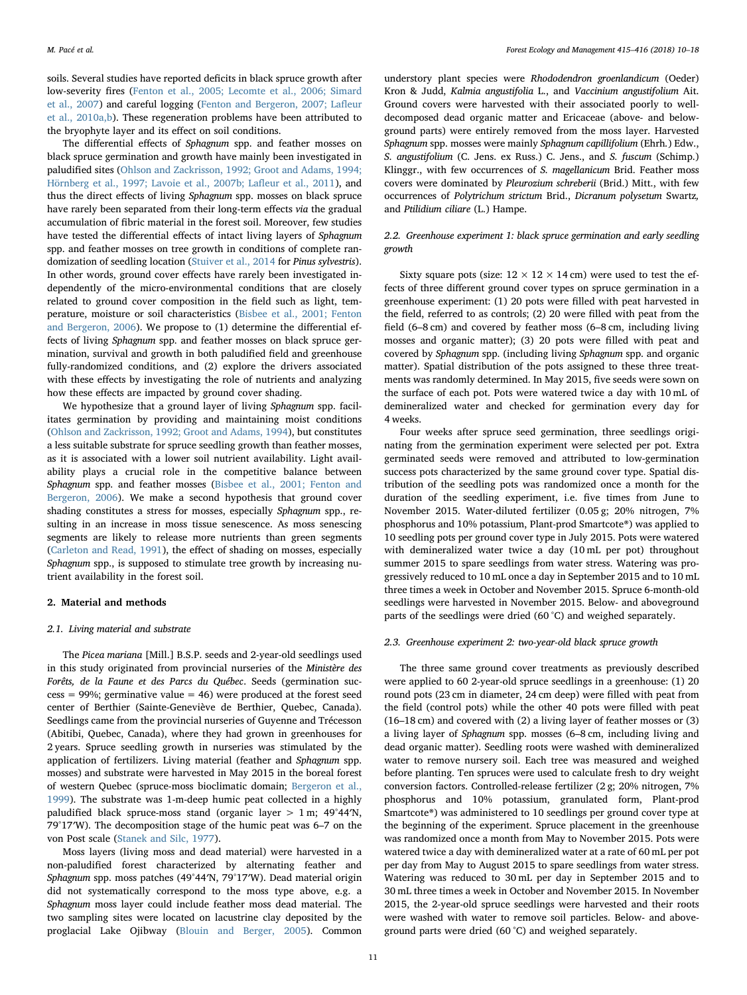soils. Several studies have reported deficits in black spruce growth after low-severity fires (Fenton et al., 2005; Lecomte et al., 2006; Simard et al., 2007) and careful logging (Fenton and Bergeron, 2007; Lafleur et al., 2010a,b). These regeneration problems have been attributed to the bryophyte layer and its effect on soil conditions.

The differential effects of Sphagnum spp. and feather mosses on black spruce germination and growth have mainly been investigated in paludified sites (Ohlson and Zackrisson, 1992; Groot and Adams, 1994; Hörnberg et al., 1997; Lavoie et al., 2007b; Lafleur et al., 2011), and thus the direct effects of living Sphagnum spp. mosses on black spruce have rarely been separated from their long-term effects via the gradual accumulation of fibric material in the forest soil. Moreover, few studies have tested the differential effects of intact living layers of Sphagnum spp. and feather mosses on tree growth in conditions of complete randomization of seedling location (Stuiver et al., 2014 for Pinus sylvestris). In other words, ground cover effects have rarely been investigated independently of the micro-environmental conditions that are closely related to ground cover composition in the field such as light, temperature, moisture or soil characteristics (Bisbee et al., 2001; Fenton and Bergeron, 2006). We propose to (1) determine the differential effects of living Sphagnum spp. and feather mosses on black spruce germination, survival and growth in both paludified field and greenhouse fully-randomized conditions, and (2) explore the drivers associated with these effects by investigating the role of nutrients and analyzing how these effects are impacted by ground cover shading.

We hypothesize that a ground layer of living Sphagnum spp. facilitates germination by providing and maintaining moist conditions (Ohlson and Zackrisson, 1992; Groot and Adams, 1994), but constitutes a less suitable substrate for spruce seedling growth than feather mosses, as it is associated with a lower soil nutrient availability. Light availability plays a crucial role in the competitive balance between Sphagnum spp. and feather mosses (Bisbee et al., 2001; Fenton and Bergeron, 2006). We make a second hypothesis that ground cover shading constitutes a stress for mosses, especially Sphagnum spp., resulting in an increase in moss tissue senescence. As moss senescing segments are likely to release more nutrients than green segments (Carleton and Read, 1991), the effect of shading on mosses, especially Sphagnum spp., is supposed to stimulate tree growth by increasing nutrient availability in the forest soil.

#### 2. Material and methods

#### 2.1. Living material and substrate

The Picea mariana [Mill.] B.S.P. seeds and 2-year-old seedlings used in this study originated from provincial nurseries of the Ministère des Forêts, de la Faune et des Parcs du Québec. Seeds (germination suc $cess = 99\%;$  germinative value = 46) were produced at the forest seed center of Berthier (Sainte-Geneviève de Berthier, Quebec, Canada). Seedlings came from the provincial nurseries of Guyenne and Trécesson (Abitibi, Quebec, Canada), where they had grown in greenhouses for 2 years. Spruce seedling growth in nurseries was stimulated by the application of fertilizers. Living material (feather and Sphagnum spp. mosses) and substrate were harvested in May 2015 in the boreal forest of western Quebec (spruce-moss bioclimatic domain; Bergeron et al., 1999). The substrate was 1-m-deep humic peat collected in a highly paludified black spruce-moss stand (organic layer > 1 m; 49°44′N, 79°17′W). The decomposition stage of the humic peat was 6–7 on the von Post scale (Stanek and Silc, 1977).

Moss layers (living moss and dead material) were harvested in a non-paludified forest characterized by alternating feather and Sphagnum spp. moss patches (49°44′N, 79°17′W). Dead material origin did not systematically correspond to the moss type above, e.g. a Sphagnum moss layer could include feather moss dead material. The two sampling sites were located on lacustrine clay deposited by the proglacial Lake Ojibway (Blouin and Berger, 2005). Common

understory plant species were Rhododendron groenlandicum (Oeder) Kron & Judd, Kalmia angustifolia L., and Vaccinium angustifolium Ait. Ground covers were harvested with their associated poorly to welldecomposed dead organic matter and Ericaceae (above- and belowground parts) were entirely removed from the moss layer. Harvested Sphagnum spp. mosses were mainly Sphagnum capillifolium (Ehrh.) Edw., S. angustifolium (C. Jens. ex Russ.) C. Jens., and S. fuscum (Schimp.) Klinggr., with few occurrences of S. magellanicum Brid. Feather moss covers were dominated by Pleurozium schreberii (Brid.) Mitt., with few occurrences of Polytrichum strictum Brid., Dicranum polysetum Swartz, and Ptilidium ciliare (L.) Hampe.

## 2.2. Greenhouse experiment 1: black spruce germination and early seedling growth

Sixty square pots (size:  $12 \times 12 \times 14$  cm) were used to test the effects of three different ground cover types on spruce germination in a greenhouse experiment: (1) 20 pots were filled with peat harvested in the field, referred to as controls; (2) 20 were filled with peat from the field (6–8 cm) and covered by feather moss (6–8 cm, including living mosses and organic matter); (3) 20 pots were filled with peat and covered by Sphagnum spp. (including living Sphagnum spp. and organic matter). Spatial distribution of the pots assigned to these three treatments was randomly determined. In May 2015, five seeds were sown on the surface of each pot. Pots were watered twice a day with 10 mL of demineralized water and checked for germination every day for 4 weeks.

Four weeks after spruce seed germination, three seedlings originating from the germination experiment were selected per pot. Extra germinated seeds were removed and attributed to low-germination success pots characterized by the same ground cover type. Spatial distribution of the seedling pots was randomized once a month for the duration of the seedling experiment, i.e. five times from June to November 2015. Water-diluted fertilizer (0.05 g; 20% nitrogen, 7% phosphorus and 10% potassium, Plant-prod Smartcote®) was applied to 10 seedling pots per ground cover type in July 2015. Pots were watered with demineralized water twice a day (10 mL per pot) throughout summer 2015 to spare seedlings from water stress. Watering was progressively reduced to 10 mL once a day in September 2015 and to 10 mL three times a week in October and November 2015. Spruce 6-month-old seedlings were harvested in November 2015. Below- and aboveground parts of the seedlings were dried (60 °C) and weighed separately.

#### 2.3. Greenhouse experiment 2: two-year-old black spruce growth

The three same ground cover treatments as previously described were applied to 60 2-year-old spruce seedlings in a greenhouse: (1) 20 round pots (23 cm in diameter, 24 cm deep) were filled with peat from the field (control pots) while the other 40 pots were filled with peat (16–18 cm) and covered with (2) a living layer of feather mosses or (3) a living layer of Sphagnum spp. mosses (6–8 cm, including living and dead organic matter). Seedling roots were washed with demineralized water to remove nursery soil. Each tree was measured and weighed before planting. Ten spruces were used to calculate fresh to dry weight conversion factors. Controlled-release fertilizer (2 g; 20% nitrogen, 7% phosphorus and 10% potassium, granulated form, Plant-prod Smartcote®) was administered to 10 seedlings per ground cover type at the beginning of the experiment. Spruce placement in the greenhouse was randomized once a month from May to November 2015. Pots were watered twice a day with demineralized water at a rate of 60 mL per pot per day from May to August 2015 to spare seedlings from water stress. Watering was reduced to 30 mL per day in September 2015 and to 30 mL three times a week in October and November 2015. In November 2015, the 2-year-old spruce seedlings were harvested and their roots were washed with water to remove soil particles. Below- and aboveground parts were dried (60 °C) and weighed separately.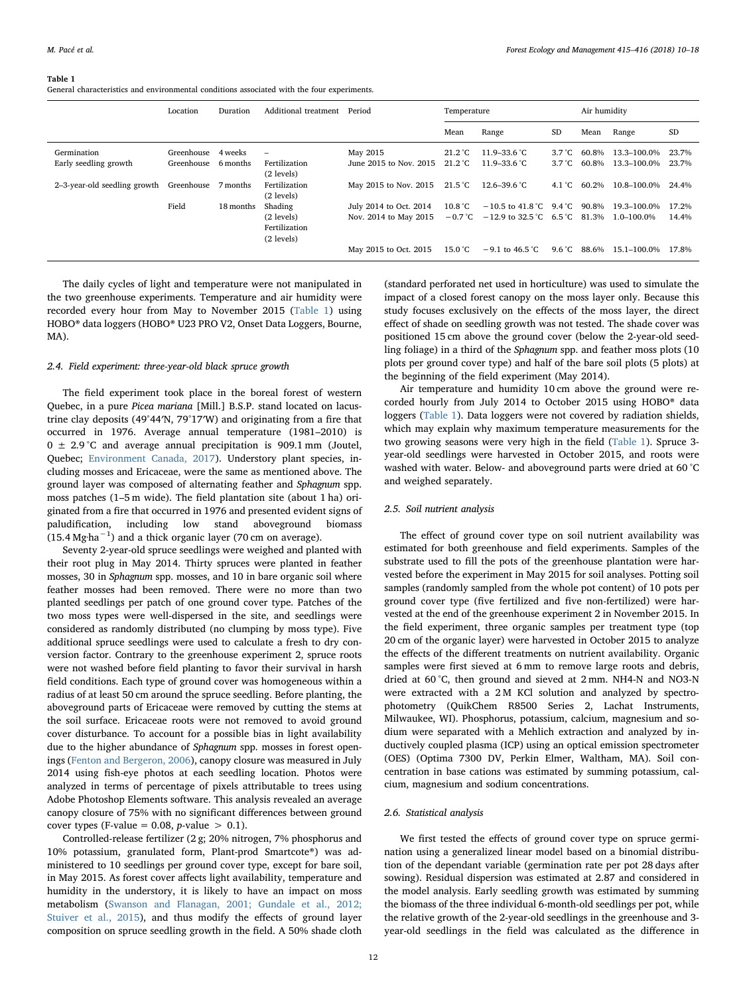#### Table 1

General characteristics and environmental conditions associated with the four experiments.

|                              | Location           | Duration  | Additional treatment Period               |                        | Temperature     |                                 | Air humidity   |       |             |           |
|------------------------------|--------------------|-----------|-------------------------------------------|------------------------|-----------------|---------------------------------|----------------|-------|-------------|-----------|
|                              |                    |           |                                           |                        | Mean            | Range                           | <b>SD</b>      | Mean  | Range       | <b>SD</b> |
| Germination                  | Greenhouse 4 weeks |           | $\overline{\phantom{0}}$                  | May 2015               | $21.2\degree$ C | $11.9 - 33.6 °C$                | $3.7\degree$ C | 60.8% | 13.3–100.0% | 23.7%     |
| Early seedling growth        | Greenhouse         | 6 months  | Fertilization<br>(2 levels)               | June 2015 to Nov. 2015 | 21.2 °C         | 11.9–33.6 °C                    | $3.7\degree$ C | 60.8% | 13.3–100.0% | 23.7%     |
| 2-3-year-old seedling growth | Greenhouse         | 7 months  | Fertilization<br>(2 levels)               | May 2015 to Nov. 2015  | $21.5\degree$ C | $12.6 - 39.6$ °C                | 4.1 °C         | 60.2% | 10.8–100.0% | 24.4%     |
|                              | Field              | 18 months | Shading                                   | July 2014 to Oct. 2014 | $10.8\degree$ C | $-10.5$ to 41.8 °C 9.4 °C 90.8% |                |       | 19.3-100.0% | 17.2%     |
|                              |                    |           | (2 levels)<br>Fertilization<br>(2 levels) | Nov. 2014 to May 2015  | $-0.7\degree$ C | $-12.9$ to 32.5 °C 6.5 °C 81.3% |                |       | 1.0-100.0%  | 14.4%     |
|                              |                    |           |                                           | May 2015 to Oct. 2015  | $15.0\degree$ C | $-9.1$ to 46.5 °C               | $9.6\degree$ C | 88.6% | 15.1–100.0% | 17.8%     |

The daily cycles of light and temperature were not manipulated in the two greenhouse experiments. Temperature and air humidity were recorded every hour from May to November 2015 (Table 1) using HOBO® data loggers (HOBO® U23 PRO V2, Onset Data Loggers, Bourne, MA).

#### 2.4. Field experiment: three-year-old black spruce growth

The field experiment took place in the boreal forest of western Quebec, in a pure Picea mariana [Mill.] B.S.P. stand located on lacustrine clay deposits (49°44′N, 79°17′W) and originating from a fire that occurred in 1976. Average annual temperature (1981–2010) is  $0 \pm 2.9$  °C and average annual precipitation is 909.1 mm (Joutel, Quebec; Environment Canada, 2017). Understory plant species, including mosses and Ericaceae, were the same as mentioned above. The ground layer was composed of alternating feather and Sphagnum spp. moss patches (1–5 m wide). The field plantation site (about 1 ha) originated from a fire that occurred in 1976 and presented evident signs of paludification, including low stand aboveground biomass  $(15.4 \text{ Mg} \cdot \text{ha}^{-1})$  and a thick organic layer (70 cm on average).

Seventy 2-year-old spruce seedlings were weighed and planted with their root plug in May 2014. Thirty spruces were planted in feather mosses, 30 in Sphagnum spp. mosses, and 10 in bare organic soil where feather mosses had been removed. There were no more than two planted seedlings per patch of one ground cover type. Patches of the two moss types were well-dispersed in the site, and seedlings were considered as randomly distributed (no clumping by moss type). Five additional spruce seedlings were used to calculate a fresh to dry conversion factor. Contrary to the greenhouse experiment 2, spruce roots were not washed before field planting to favor their survival in harsh field conditions. Each type of ground cover was homogeneous within a radius of at least 50 cm around the spruce seedling. Before planting, the aboveground parts of Ericaceae were removed by cutting the stems at the soil surface. Ericaceae roots were not removed to avoid ground cover disturbance. To account for a possible bias in light availability due to the higher abundance of Sphagnum spp. mosses in forest openings (Fenton and Bergeron, 2006), canopy closure was measured in July 2014 using fish-eye photos at each seedling location. Photos were analyzed in terms of percentage of pixels attributable to trees using Adobe Photoshop Elements software. This analysis revealed an average canopy closure of 75% with no significant differences between ground cover types (F-value =  $0.08$ , *p*-value > 0.1).

Controlled-release fertilizer (2 g; 20% nitrogen, 7% phosphorus and 10% potassium, granulated form, Plant-prod Smartcote®) was administered to 10 seedlings per ground cover type, except for bare soil, in May 2015. As forest cover affects light availability, temperature and humidity in the understory, it is likely to have an impact on moss metabolism (Swanson and Flanagan, 2001; Gundale et al., 2012; Stuiver et al., 2015), and thus modify the effects of ground layer composition on spruce seedling growth in the field. A 50% shade cloth

(standard perforated net used in horticulture) was used to simulate the impact of a closed forest canopy on the moss layer only. Because this study focuses exclusively on the effects of the moss layer, the direct effect of shade on seedling growth was not tested. The shade cover was positioned 15 cm above the ground cover (below the 2-year-old seedling foliage) in a third of the Sphagnum spp. and feather moss plots (10 plots per ground cover type) and half of the bare soil plots (5 plots) at the beginning of the field experiment (May 2014).

Air temperature and humidity 10 cm above the ground were recorded hourly from July 2014 to October 2015 using HOBO® data loggers (Table 1). Data loggers were not covered by radiation shields, which may explain why maximum temperature measurements for the two growing seasons were very high in the field (Table 1). Spruce 3 year-old seedlings were harvested in October 2015, and roots were washed with water. Below- and aboveground parts were dried at 60 °C and weighed separately.

#### 2.5. Soil nutrient analysis

The effect of ground cover type on soil nutrient availability was estimated for both greenhouse and field experiments. Samples of the substrate used to fill the pots of the greenhouse plantation were harvested before the experiment in May 2015 for soil analyses. Potting soil samples (randomly sampled from the whole pot content) of 10 pots per ground cover type (five fertilized and five non-fertilized) were harvested at the end of the greenhouse experiment 2 in November 2015. In the field experiment, three organic samples per treatment type (top 20 cm of the organic layer) were harvested in October 2015 to analyze the effects of the different treatments on nutrient availability. Organic samples were first sieved at 6 mm to remove large roots and debris, dried at 60 °C, then ground and sieved at 2 mm. NH4-N and NO3-N were extracted with a 2M KCl solution and analyzed by spectrophotometry (QuikChem R8500 Series 2, Lachat Instruments, Milwaukee, WI). Phosphorus, potassium, calcium, magnesium and sodium were separated with a Mehlich extraction and analyzed by inductively coupled plasma (ICP) using an optical emission spectrometer (OES) (Optima 7300 DV, Perkin Elmer, Waltham, MA). Soil concentration in base cations was estimated by summing potassium, calcium, magnesium and sodium concentrations.

## 2.6. Statistical analysis

We first tested the effects of ground cover type on spruce germination using a generalized linear model based on a binomial distribution of the dependant variable (germination rate per pot 28 days after sowing). Residual dispersion was estimated at 2.87 and considered in the model analysis. Early seedling growth was estimated by summing the biomass of the three individual 6-month-old seedlings per pot, while the relative growth of the 2-year-old seedlings in the greenhouse and 3 year-old seedlings in the field was calculated as the difference in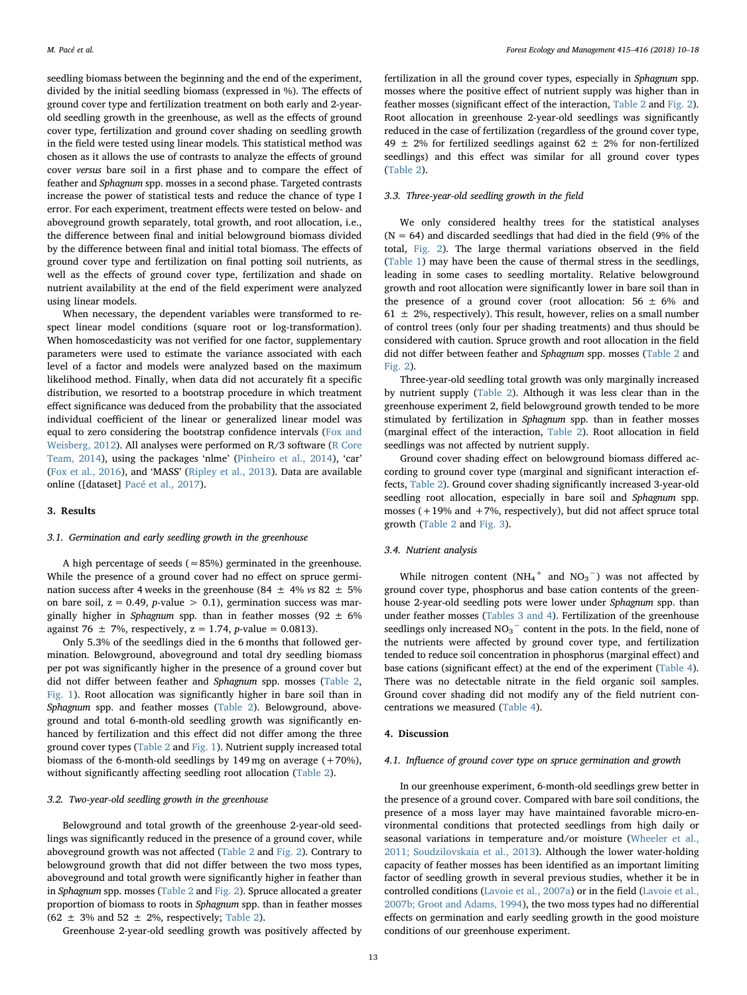seedling biomass between the beginning and the end of the experiment, divided by the initial seedling biomass (expressed in %). The effects of ground cover type and fertilization treatment on both early and 2-yearold seedling growth in the greenhouse, as well as the effects of ground cover type, fertilization and ground cover shading on seedling growth in the field were tested using linear models. This statistical method was chosen as it allows the use of contrasts to analyze the effects of ground cover versus bare soil in a first phase and to compare the effect of feather and Sphagnum spp. mosses in a second phase. Targeted contrasts increase the power of statistical tests and reduce the chance of type I error. For each experiment, treatment effects were tested on below- and aboveground growth separately, total growth, and root allocation, i.e., the difference between final and initial belowground biomass divided by the difference between final and initial total biomass. The effects of ground cover type and fertilization on final potting soil nutrients, as well as the effects of ground cover type, fertilization and shade on nutrient availability at the end of the field experiment were analyzed using linear models.

When necessary, the dependent variables were transformed to respect linear model conditions (square root or log-transformation). When homoscedasticity was not verified for one factor, supplementary parameters were used to estimate the variance associated with each level of a factor and models were analyzed based on the maximum likelihood method. Finally, when data did not accurately fit a specific distribution, we resorted to a bootstrap procedure in which treatment effect significance was deduced from the probability that the associated individual coefficient of the linear or generalized linear model was equal to zero considering the bootstrap confidence intervals (Fox and Weisberg, 2012). All analyses were performed on R/3 software (R Core Team, 2014), using the packages 'nlme' (Pinheiro et al., 2014), 'car' (Fox et al., 2016), and 'MASS' (Ripley et al., 2013). Data are available online ([dataset] Pacé et al., 2017).

#### 3. Results

## 3.1. Germination and early seedling growth in the greenhouse

A high percentage of seeds ( $\approx$ 85%) germinated in the greenhouse. While the presence of a ground cover had no effect on spruce germination success after 4 weeks in the greenhouse (84  $\pm$  4% vs 82  $\pm$  5% on bare soil,  $z = 0.49$ , *p*-value  $> 0.1$ ), germination success was marginally higher in Sphagnum spp. than in feather mosses (92  $\pm$  6% against 76  $\pm$  7%, respectively, z = 1.74, p-value = 0.0813).

Only 5.3% of the seedlings died in the 6 months that followed germination. Belowground, aboveground and total dry seedling biomass per pot was significantly higher in the presence of a ground cover but did not differ between feather and Sphagnum spp. mosses (Table 2, Fig. 1). Root allocation was significantly higher in bare soil than in Sphagnum spp. and feather mosses (Table 2). Belowground, aboveground and total 6-month-old seedling growth was significantly enhanced by fertilization and this effect did not differ among the three ground cover types (Table 2 and Fig. 1). Nutrient supply increased total biomass of the 6-month-old seedlings by 149 mg on average (+70%), without significantly affecting seedling root allocation (Table 2).

## 3.2. Two-year-old seedling growth in the greenhouse

Belowground and total growth of the greenhouse 2-year-old seedlings was significantly reduced in the presence of a ground cover, while aboveground growth was not affected (Table 2 and Fig. 2). Contrary to belowground growth that did not differ between the two moss types, aboveground and total growth were significantly higher in feather than in Sphagnum spp. mosses (Table 2 and Fig. 2). Spruce allocated a greater proportion of biomass to roots in Sphagnum spp. than in feather mosses  $(62 \pm 3\% \text{ and } 52 \pm 2\%, \text{ respectively; Table 2}).$ 

Greenhouse 2-year-old seedling growth was positively affected by

fertilization in all the ground cover types, especially in Sphagnum spp. mosses where the positive effect of nutrient supply was higher than in feather mosses (significant effect of the interaction, Table 2 and Fig. 2). Root allocation in greenhouse 2-year-old seedlings was significantly reduced in the case of fertilization (regardless of the ground cover type, 49  $\pm$  2% for fertilized seedlings against 62  $\pm$  2% for non-fertilized seedlings) and this effect was similar for all ground cover types (Table 2).

# 3.3. Three-year-old seedling growth in the field

We only considered healthy trees for the statistical analyses  $(N = 64)$  and discarded seedlings that had died in the field (9% of the total, Fig. 2). The large thermal variations observed in the field (Table 1) may have been the cause of thermal stress in the seedlings, leading in some cases to seedling mortality. Relative belowground growth and root allocation were significantly lower in bare soil than in the presence of a ground cover (root allocation:  $56 \pm 6\%$  and  $61 \pm 2\%$ , respectively). This result, however, relies on a small number of control trees (only four per shading treatments) and thus should be considered with caution. Spruce growth and root allocation in the field did not differ between feather and Sphagnum spp. mosses (Table 2 and Fig. 2).

Three-year-old seedling total growth was only marginally increased by nutrient supply (Table 2). Although it was less clear than in the greenhouse experiment 2, field belowground growth tended to be more stimulated by fertilization in Sphagnum spp. than in feather mosses (marginal effect of the interaction, Table 2). Root allocation in field seedlings was not affected by nutrient supply.

Ground cover shading effect on belowground biomass differed according to ground cover type (marginal and significant interaction effects, Table 2). Ground cover shading significantly increased 3-year-old seedling root allocation, especially in bare soil and Sphagnum spp. mosses  $(+19\%$  and  $+7\%$ , respectively), but did not affect spruce total growth (Table 2 and Fig. 3).

## 3.4. Nutrient analysis

While nitrogen content (NH<sub>4</sub><sup>+</sup> and NO<sub>3</sub><sup>-</sup>) was not affected by ground cover type, phosphorus and base cation contents of the greenhouse 2-year-old seedling pots were lower under Sphagnum spp. than under feather mosses (Tables 3 and 4). Fertilization of the greenhouse seedlings only increased  $\mathrm{NO_3}^-$  content in the pots. In the field, none of the nutrients were affected by ground cover type, and fertilization tended to reduce soil concentration in phosphorus (marginal effect) and base cations (significant effect) at the end of the experiment (Table 4). There was no detectable nitrate in the field organic soil samples. Ground cover shading did not modify any of the field nutrient concentrations we measured (Table 4).

#### 4. Discussion

### 4.1. Influence of ground cover type on spruce germination and growth

In our greenhouse experiment, 6-month-old seedlings grew better in the presence of a ground cover. Compared with bare soil conditions, the presence of a moss layer may have maintained favorable micro-environmental conditions that protected seedlings from high daily or seasonal variations in temperature and/or moisture (Wheeler et al., 2011; Soudzilovskaia et al., 2013). Although the lower water-holding capacity of feather mosses has been identified as an important limiting factor of seedling growth in several previous studies, whether it be in controlled conditions (Lavoie et al., 2007a) or in the field (Lavoie et al., 2007b; Groot and Adams, 1994), the two moss types had no differential effects on germination and early seedling growth in the good moisture conditions of our greenhouse experiment.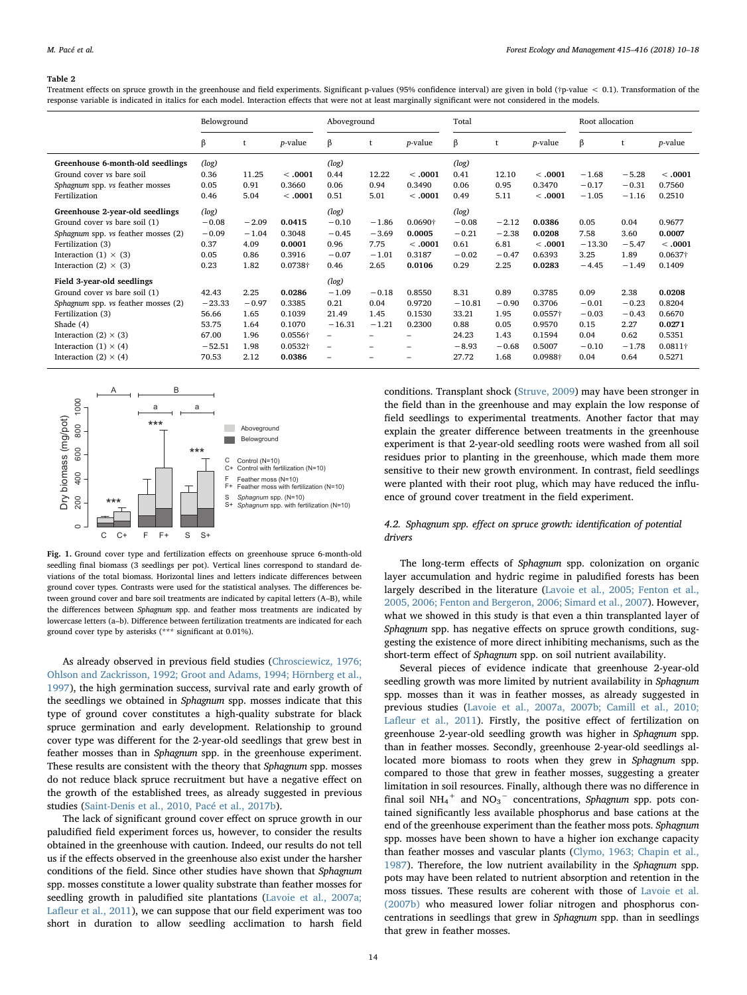#### Table 2

Treatment effects on spruce growth in the greenhouse and field experiments. Significant p-values (95% confidence interval) are given in bold (†p-value < 0.1). Transformation of the response variable is indicated in italics for each model. Interaction effects that were not at least marginally significant were not considered in the models.

|                                      | Belowground |         |                 | Aboveground              |         |                 | Total    |         |                 | Root allocation |         |                       |
|--------------------------------------|-------------|---------|-----------------|--------------------------|---------|-----------------|----------|---------|-----------------|-----------------|---------|-----------------------|
|                                      | β           | t       | <i>p</i> -value | β                        |         | <i>p</i> -value | β        | t       | <i>p</i> -value | β               | t       | <i>p</i> -value       |
| Greenhouse 6-month-old seedlings     | (log)       |         |                 | (log)                    |         |                 | (log)    |         |                 |                 |         |                       |
| Ground cover <i>vs</i> bare soil     | 0.36        | 11.25   | < .0001         | 0.44                     | 12.22   | < 0.001         | 0.41     | 12.10   | < .0001         | $-1.68$         | $-5.28$ | < .0001               |
| Sphagnum spp. vs feather mosses      | 0.05        | 0.91    | 0.3660          | 0.06                     | 0.94    | 0.3490          | 0.06     | 0.95    | 0.3470          | $-0.17$         | $-0.31$ | 0.7560                |
| Fertilization                        | 0.46        | 5.04    | < .0001         | 0.51                     | 5.01    | < .0001         | 0.49     | 5.11    | < .0001         | $-1.05$         | $-1.16$ | 0.2510                |
| Greenhouse 2-year-old seedlings      | (log)       |         |                 | (log)                    |         |                 | (log)    |         |                 |                 |         |                       |
| Ground cover <i>vs</i> bare soil (1) | $-0.08$     | $-2.09$ | 0.0415          | $-0.10$                  | $-1.86$ | 0.0690+         | $-0.08$  | $-2.12$ | 0.0386          | 0.05            | 0.04    | 0.9677                |
| Sphagnum spp. vs feather mosses (2)  | $-0.09$     | $-1.04$ | 0.3048          | $-0.45$                  | $-3.69$ | 0.0005          | $-0.21$  | $-2.38$ | 0.0208          | 7.58            | 3.60    | 0.0007                |
| Fertilization (3)                    | 0.37        | 4.09    | 0.0001          | 0.96                     | 7.75    | < .0001         | 0.61     | 6.81    | < .0001         | $-13.30$        | $-5.47$ | < 0.001               |
| Interaction (1) $\times$ (3)         | 0.05        | 0.86    | 0.3916          | $-0.07$                  | $-1.01$ | 0.3187          | $-0.02$  | $-0.47$ | 0.6393          | 3.25            | 1.89    | 0.0637†               |
| Interaction (2) $\times$ (3)         | 0.23        | 1.82    | 0.07381         | 0.46                     | 2.65    | 0.0106          | 0.29     | 2.25    | 0.0283          | $-4.45$         | $-1.49$ | 0.1409                |
| Field 3-year-old seedlings           |             |         |                 | (log)                    |         |                 |          |         |                 |                 |         |                       |
| Ground cover <i>vs</i> bare soil (1) | 42.43       | 2.25    | 0.0286          | $-1.09$                  | $-0.18$ | 0.8550          | 8.31     | 0.89    | 0.3785          | 0.09            | 2.38    | 0.0208                |
| Sphagnum spp. vs feather mosses (2)  | $-23.33$    | $-0.97$ | 0.3385          | 0.21                     | 0.04    | 0.9720          | $-10.81$ | $-0.90$ | 0.3706          | $-0.01$         | $-0.23$ | 0.8204                |
| Fertilization (3)                    | 56.66       | 1.65    | 0.1039          | 21.49                    | 1.45    | 0.1530          | 33.21    | 1.95    | $0.0557$ †      | $-0.03$         | $-0.43$ | 0.6670                |
| Shade (4)                            | 53.75       | 1.64    | 0.1070          | $-16.31$                 | $-1.21$ | 0.2300          | 0.88     | 0.05    | 0.9570          | 0.15            | 2.27    | 0.0271                |
| Interaction (2) $\times$ (3)         | 67.00       | 1.96    | 0.0556+         | $\overline{\phantom{m}}$ |         |                 | 24.23    | 1.43    | 0.1594          | 0.04            | 0.62    | 0.5351                |
| Interaction (1) $\times$ (4)         | $-52.51$    | 1.98    | 0.0532+         | $\qquad \qquad -$        |         |                 | $-8.93$  | $-0.68$ | 0.5007          | $-0.10$         | $-1.78$ | $0.0811$ <sup>+</sup> |
| Interaction (2) $\times$ (4)         | 70.53       | 2.12    | 0.0386          |                          |         |                 | 27.72    | 1.68    | 0.0988+         | 0.04            | 0.64    | 0.5271                |



Fig. 1. Ground cover type and fertilization effects on greenhouse spruce 6-month-old seedling final biomass (3 seedlings per pot). Vertical lines correspond to standard deviations of the total biomass. Horizontal lines and letters indicate differences between ground cover types. Contrasts were used for the statistical analyses. The differences between ground cover and bare soil treatments are indicated by capital letters (A–B), while the differences between Sphagnum spp. and feather moss treatments are indicated by lowercase letters (a–b). Difference between fertilization treatments are indicated for each ground cover type by asterisks (\*\*\* significant at 0.01%).

As already observed in previous field studies (Chrosciewicz, 1976; Ohlson and Zackrisson, 1992; Groot and Adams, 1994; Hörnberg et al., 1997), the high germination success, survival rate and early growth of the seedlings we obtained in Sphagnum spp. mosses indicate that this type of ground cover constitutes a high-quality substrate for black spruce germination and early development. Relationship to ground cover type was different for the 2-year-old seedlings that grew best in feather mosses than in Sphagnum spp. in the greenhouse experiment. These results are consistent with the theory that Sphagnum spp. mosses do not reduce black spruce recruitment but have a negative effect on the growth of the established trees, as already suggested in previous studies (Saint-Denis et al., 2010, Pacé et al., 2017b).

The lack of significant ground cover effect on spruce growth in our paludified field experiment forces us, however, to consider the results obtained in the greenhouse with caution. Indeed, our results do not tell us if the effects observed in the greenhouse also exist under the harsher conditions of the field. Since other studies have shown that Sphagnum spp. mosses constitute a lower quality substrate than feather mosses for seedling growth in paludified site plantations (Lavoie et al., 2007a; Lafleur et al., 2011), we can suppose that our field experiment was too short in duration to allow seedling acclimation to harsh field conditions. Transplant shock (Struve, 2009) may have been stronger in the field than in the greenhouse and may explain the low response of field seedlings to experimental treatments. Another factor that may explain the greater difference between treatments in the greenhouse experiment is that 2-year-old seedling roots were washed from all soil residues prior to planting in the greenhouse, which made them more sensitive to their new growth environment. In contrast, field seedlings were planted with their root plug, which may have reduced the influence of ground cover treatment in the field experiment.

## 4.2. Sphagnum spp. effect on spruce growth: identification of potential drivers

The long-term effects of Sphagnum spp. colonization on organic layer accumulation and hydric regime in paludified forests has been largely described in the literature (Lavoie et al., 2005; Fenton et al., 2005, 2006; Fenton and Bergeron, 2006; Simard et al., 2007). However, what we showed in this study is that even a thin transplanted layer of Sphagnum spp. has negative effects on spruce growth conditions, suggesting the existence of more direct inhibiting mechanisms, such as the short-term effect of Sphagnum spp. on soil nutrient availability.

Several pieces of evidence indicate that greenhouse 2-year-old seedling growth was more limited by nutrient availability in Sphagnum spp. mosses than it was in feather mosses, as already suggested in previous studies (Lavoie et al., 2007a, 2007b; Camill et al., 2010; Lafleur et al., 2011). Firstly, the positive effect of fertilization on greenhouse 2-year-old seedling growth was higher in Sphagnum spp. than in feather mosses. Secondly, greenhouse 2-year-old seedlings allocated more biomass to roots when they grew in Sphagnum spp. compared to those that grew in feather mosses, suggesting a greater limitation in soil resources. Finally, although there was no difference in final soil NH<sub>4</sub><sup>+</sup> and NO<sub>3</sub><sup>-</sup> concentrations, Sphagnum spp. pots contained significantly less available phosphorus and base cations at the end of the greenhouse experiment than the feather moss pots. Sphagnum spp. mosses have been shown to have a higher ion exchange capacity than feather mosses and vascular plants (Clymo, 1963; Chapin et al., 1987). Therefore, the low nutrient availability in the Sphagnum spp. pots may have been related to nutrient absorption and retention in the moss tissues. These results are coherent with those of Lavoie et al. (2007b) who measured lower foliar nitrogen and phosphorus concentrations in seedlings that grew in Sphagnum spp. than in seedlings that grew in feather mosses.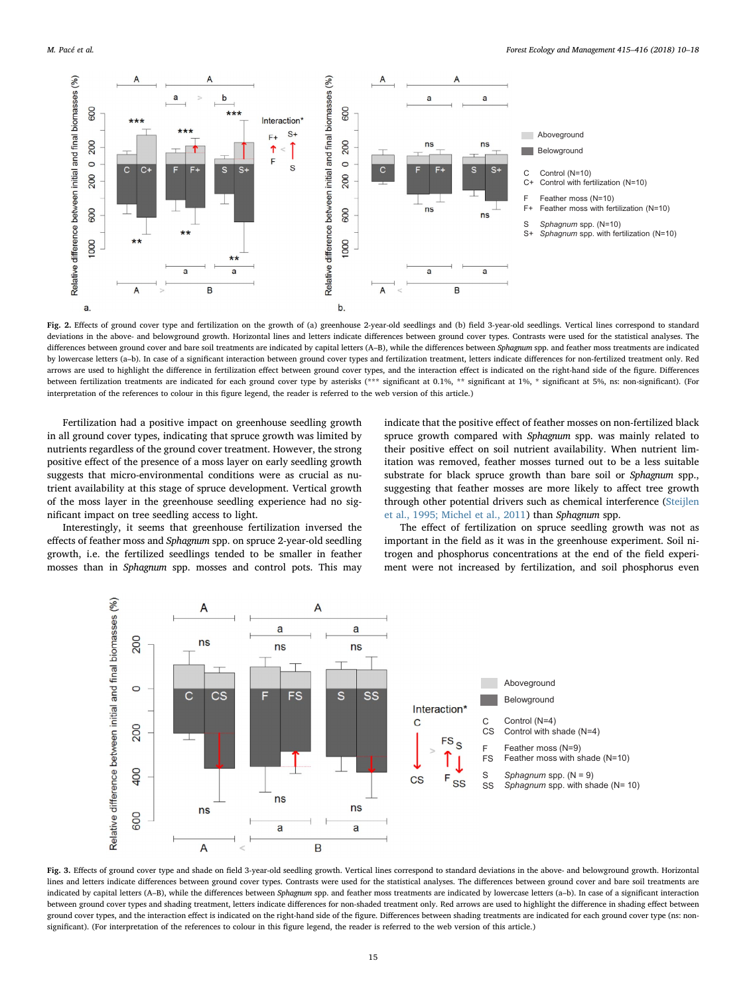

Fig. 2. Effects of ground cover type and fertilization on the growth of (a) greenhouse 2-year-old seedlings and (b) field 3-year-old seedlings. Vertical lines correspond to standard deviations in the above- and belowground growth. Horizontal lines and letters indicate differences between ground cover types. Contrasts were used for the statistical analyses. The differences between ground cover and bare soil treatments are indicated by capital letters (A–B), while the differences between Sphagnum spp. and feather moss treatments are indicated by lowercase letters (a–b). In case of a significant interaction between ground cover types and fertilization treatment, letters indicate differences for non-fertilized treatment only. Red arrows are used to highlight the difference in fertilization effect between ground cover types, and the interaction effect is indicated on the right-hand side of the figure. Differences between fertilization treatments are indicated for each ground cover type by asterisks (\*\*\* significant at 0.1%, \*\* significant at 1%, \* significant at 5%, ns: non-significant). (For interpretation of the references to colour in this figure legend, the reader is referred to the web version of this article.)

Fertilization had a positive impact on greenhouse seedling growth in all ground cover types, indicating that spruce growth was limited by nutrients regardless of the ground cover treatment. However, the strong positive effect of the presence of a moss layer on early seedling growth suggests that micro-environmental conditions were as crucial as nutrient availability at this stage of spruce development. Vertical growth of the moss layer in the greenhouse seedling experience had no significant impact on tree seedling access to light.

Interestingly, it seems that greenhouse fertilization inversed the effects of feather moss and Sphagnum spp. on spruce 2-year-old seedling growth, i.e. the fertilized seedlings tended to be smaller in feather mosses than in Sphagnum spp. mosses and control pots. This may

indicate that the positive effect of feather mosses on non-fertilized black spruce growth compared with Sphagnum spp. was mainly related to their positive effect on soil nutrient availability. When nutrient limitation was removed, feather mosses turned out to be a less suitable substrate for black spruce growth than bare soil or Sphagnum spp., suggesting that feather mosses are more likely to affect tree growth through other potential drivers such as chemical interference (Steijlen et al., 1995; Michel et al., 2011) than Sphagnum spp.

The effect of fertilization on spruce seedling growth was not as important in the field as it was in the greenhouse experiment. Soil nitrogen and phosphorus concentrations at the end of the field experiment were not increased by fertilization, and soil phosphorus even



Fig. 3. Effects of ground cover type and shade on field 3-year-old seedling growth. Vertical lines correspond to standard deviations in the above- and belowground growth. Horizontal lines and letters indicate differences between ground cover types. Contrasts were used for the statistical analyses. The differences between ground cover and bare soil treatments are indicated by capital letters (A–B), while the differences between Sphagnum spp. and feather moss treatments are indicated by lowercase letters (a–b). In case of a significant interaction between ground cover types and shading treatment, letters indicate differences for non-shaded treatment only. Red arrows are used to highlight the difference in shading effect between ground cover types, and the interaction effect is indicated on the right-hand side of the figure. Differences between shading treatments are indicated for each ground cover type (ns: nonsignificant). (For interpretation of the references to colour in this figure legend, the reader is referred to the web version of this article.)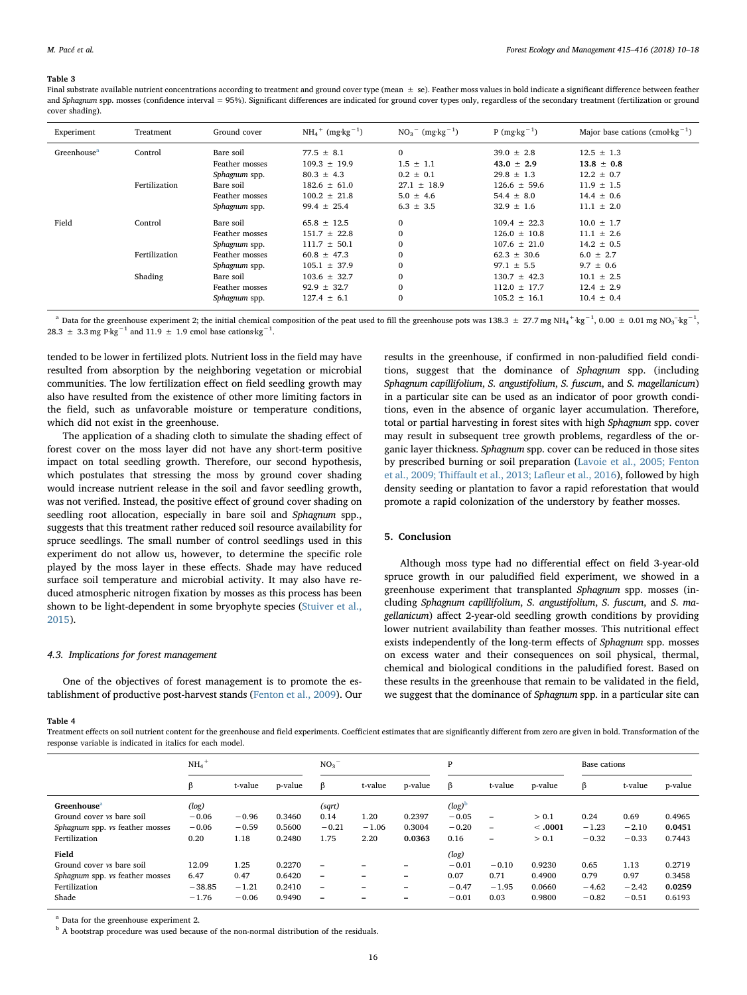#### Table 3

Final substrate available nutrient concentrations according to treatment and ground cover type (mean  $\pm$  se). Feather moss values in bold indicate a significant difference between feather and Sphagnum spp. mosses (confidence interval = 95%). Significant differences are indicated for ground cover types only, regardless of the secondary treatment (fertilization or ground cover shading).

| Experiment              | Treatment     | Ground cover   | $NH_4$ <sup>+</sup> (mg·kg <sup>-1</sup> ) | $NO_3^-$ (mg·kg <sup>-1</sup> ) | $P(mg kg^{-1})$  | Major base cations (cmol $kg^{-1}$ ) |
|-------------------------|---------------|----------------|--------------------------------------------|---------------------------------|------------------|--------------------------------------|
| Greenhouse <sup>a</sup> | Control       | Bare soil      | $77.5 \pm 8.1$                             | $\mathbf{0}$                    | $39.0 \pm 2.8$   | $12.5 \pm 1.3$                       |
|                         |               | Feather mosses | $109.3 \pm 19.9$                           | $1.5 \pm 1.1$                   | $43.0 \pm 2.9$   | $13.8 \pm 0.8$                       |
|                         |               | Sphagnum spp.  | $80.3 \pm 4.3$                             | $0.2 \pm 0.1$                   | $29.8 \pm 1.3$   | $12.2 \pm 0.7$                       |
|                         | Fertilization | Bare soil      | $182.6 \pm 61.0$                           | $27.1 \pm 18.9$                 | $126.6 \pm 59.6$ | $11.9 \pm 1.5$                       |
|                         |               | Feather mosses | $100.2 \pm 21.8$                           | $5.0 \pm 4.6$                   | 54.4 $\pm$ 8.0   | $14.4 \pm 0.6$                       |
|                         |               | Sphagnum spp.  | $99.4 \pm 25.4$                            | $6.3 \pm 3.5$                   | $32.9 \pm 1.6$   | $11.1 \pm 2.0$                       |
| Field                   | Control       | Bare soil      | $65.8 \pm 12.5$                            | $\mathbf{0}$                    | $109.4 \pm 22.3$ | $10.0 \pm 1.7$                       |
|                         |               | Feather mosses | $151.7 \pm 22.8$                           | $\mathbf{0}$                    | $126.0 \pm 10.8$ | $11.1 \pm 2.6$                       |
|                         |               | Sphagnum spp.  | $111.7 \pm 50.1$                           | $\mathbf{0}$                    | $107.6 \pm 21.0$ | $14.2 \pm 0.5$                       |
|                         | Fertilization | Feather mosses | $60.8 \pm 47.3$                            | $\mathbf{0}$                    | $62.3 \pm 30.6$  | $6.0 \pm 2.7$                        |
|                         |               | Sphagnum spp.  | $105.1 \pm 37.9$                           | $\mathbf{0}$                    | $97.1 \pm 5.5$   | $9.7 \pm 0.6$                        |
|                         | Shading       | Bare soil      | $103.6 \pm 32.7$                           | $\mathbf{0}$                    | $130.7 \pm 42.3$ | $10.1 \pm 2.5$                       |
|                         |               | Feather mosses | $92.9 \pm 32.7$                            | $\mathbf{0}$                    | $112.0 \pm 17.7$ | $12.4 \pm 2.9$                       |
|                         |               | Sphagnum spp.  | $127.4 \pm 6.1$                            | $\mathbf{0}$                    | $105.2 \pm 16.1$ | $10.4 \pm 0.4$                       |

<sup>a</sup> Data for the greenhouse experiment 2; the initial chemical composition of the peat used to fill the greenhouse pots was 138.3 ± 27.7 mg NH<sub>4</sub><sup>+</sup> kg<sup>-1</sup>, 0.00 ± 0.01 mg NO<sub>3</sub><sup>-</sup>kg<sup>-1</sup>,  $28.3 \pm 3.3$  mg P·kg<sup>-1</sup> and 11.9  $\pm$  1.9 cmol base cations·kg<sup>-1</sup>.

tended to be lower in fertilized plots. Nutrient loss in the field may have resulted from absorption by the neighboring vegetation or microbial communities. The low fertilization effect on field seedling growth may also have resulted from the existence of other more limiting factors in the field, such as unfavorable moisture or temperature conditions, which did not exist in the greenhouse.

The application of a shading cloth to simulate the shading effect of forest cover on the moss layer did not have any short-term positive impact on total seedling growth. Therefore, our second hypothesis, which postulates that stressing the moss by ground cover shading would increase nutrient release in the soil and favor seedling growth, was not verified. Instead, the positive effect of ground cover shading on seedling root allocation, especially in bare soil and Sphagnum spp., suggests that this treatment rather reduced soil resource availability for spruce seedlings. The small number of control seedlings used in this experiment do not allow us, however, to determine the specific role played by the moss layer in these effects. Shade may have reduced surface soil temperature and microbial activity. It may also have reduced atmospheric nitrogen fixation by mosses as this process has been shown to be light-dependent in some bryophyte species (Stuiver et al., 2015).

## 4.3. Implications for forest management

One of the objectives of forest management is to promote the establishment of productive post-harvest stands (Fenton et al., 2009). Our results in the greenhouse, if confirmed in non-paludified field conditions, suggest that the dominance of Sphagnum spp. (including Sphagnum capillifolium, S. angustifolium, S. fuscum, and S. magellanicum) in a particular site can be used as an indicator of poor growth conditions, even in the absence of organic layer accumulation. Therefore, total or partial harvesting in forest sites with high Sphagnum spp. cover may result in subsequent tree growth problems, regardless of the organic layer thickness. Sphagnum spp. cover can be reduced in those sites by prescribed burning or soil preparation (Lavoie et al., 2005; Fenton et al., 2009; Thiffault et al., 2013; Lafleur et al., 2016), followed by high density seeding or plantation to favor a rapid reforestation that would promote a rapid colonization of the understory by feather mosses.

### 5. Conclusion

Although moss type had no differential effect on field 3-year-old spruce growth in our paludified field experiment, we showed in a greenhouse experiment that transplanted Sphagnum spp. mosses (including Sphagnum capillifolium, S. angustifolium, S. fuscum, and S. magellanicum) affect 2-year-old seedling growth conditions by providing lower nutrient availability than feather mosses. This nutritional effect exists independently of the long-term effects of Sphagnum spp. mosses on excess water and their consequences on soil physical, thermal, chemical and biological conditions in the paludified forest. Based on these results in the greenhouse that remain to be validated in the field, we suggest that the dominance of Sphagnum spp. in a particular site can

#### Table 4

Treatment effects on soil nutrient content for the greenhouse and field experiments. Coefficient estimates that are significantly different from zero are given in bold. Transformation of the response variable is indicated in italics for each model.

|                                  | $NH_4$ <sup>+</sup> |         |         | NO <sub>3</sub>          |         |         | P         |         |         | Base cations |         |         |
|----------------------------------|---------------------|---------|---------|--------------------------|---------|---------|-----------|---------|---------|--------------|---------|---------|
|                                  | β                   | t-value | p-value | β                        | t-value | p-value | β         | t-value | p-value | β            | t-value | p-value |
| Greenhouse <sup>a</sup>          | (log)               |         |         | (sqrt)                   |         |         | $(log)^b$ |         |         |              |         |         |
| Ground cover <i>vs</i> bare soil | $-0.06$             | $-0.96$ | 0.3460  | 0.14                     | 1.20    | 0.2397  | $-0.05$   | $=$     | > 0.1   | 0.24         | 0.69    | 0.4965  |
| Sphagnum spp. vs feather mosses  | $-0.06$             | $-0.59$ | 0.5600  | $-0.21$                  | $-1.06$ | 0.3004  | $-0.20$   | $=$     | < .0001 | $-1.23$      | $-2.10$ | 0.0451  |
| Fertilization                    | 0.20                | 1.18    | 0.2480  | 1.75                     | 2.20    | 0.0363  | 0.16      | -       | > 0.1   | $-0.32$      | $-0.33$ | 0.7443  |
| Field                            |                     |         |         |                          |         |         | (log)     |         |         |              |         |         |
| Ground cover <i>vs</i> bare soil | 12.09               | 1.25    | 0.2270  | $\overline{\phantom{0}}$ |         |         | $-0.01$   | $-0.10$ | 0.9230  | 0.65         | 1.13    | 0.2719  |
| Sphagnum spp. vs feather mosses  | 6.47                | 0.47    | 0.6420  | $\qquad \qquad$          |         | -       | 0.07      | 0.71    | 0.4900  | 0.79         | 0.97    | 0.3458  |
| Fertilization                    | $-38.85$            | $-1.21$ | 0.2410  | $\qquad \qquad$          | -       | -       | $-0.47$   | $-1.95$ | 0.0660  | $-4.62$      | $-2.42$ | 0.0259  |
| Shade                            | $-1.76$             | $-0.06$ | 0.9490  | $\overline{\phantom{a}}$ |         |         | $-0.01$   | 0.03    | 0.9800  | $-0.82$      | $-0.51$ | 0.6193  |

<sup>a</sup> Data for the greenhouse experiment 2.

<sup>b</sup> A bootstrap procedure was used because of the non-normal distribution of the residuals.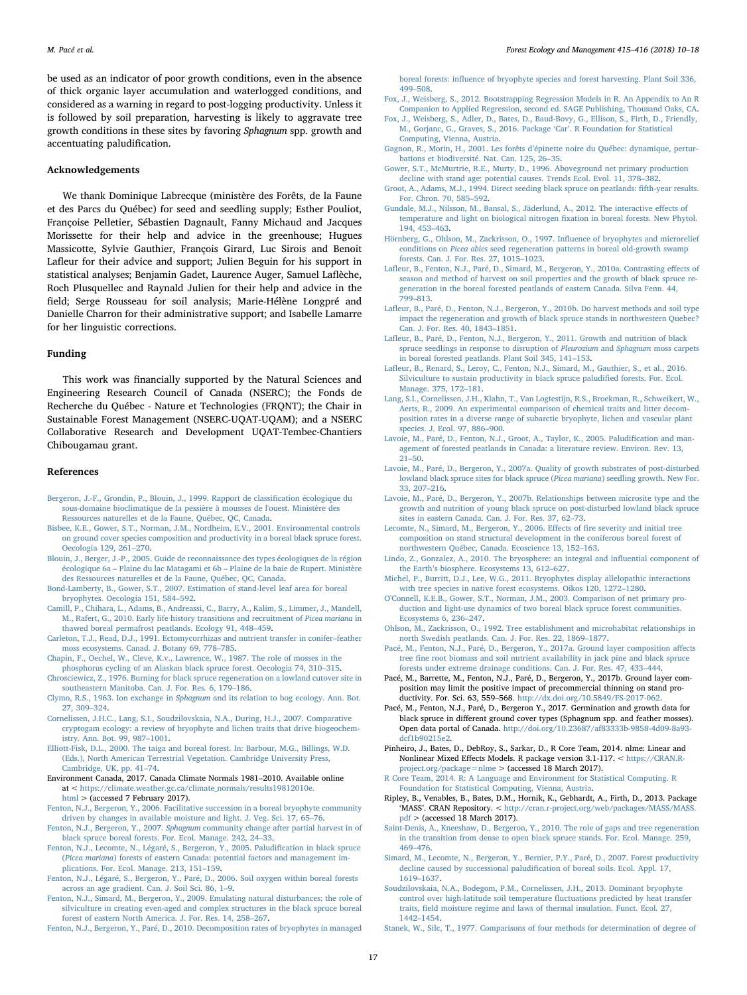be used as an indicator of poor growth conditions, even in the absence of thick organic layer accumulation and waterlogged conditions, and considered as a warning in regard to post-logging productivity. Unless it is followed by soil preparation, harvesting is likely to aggravate tree growth conditions in these sites by favoring Sphagnum spp. growth and accentuating paludification.

## Acknowledgements

We thank Dominique Labrecque (ministère des Forêts, de la Faune et des Parcs du Québec) for seed and seedling supply; Esther Pouliot, Françoise Pelletier, Sébastien Dagnault, Fanny Michaud and Jacques Morissette for their help and advice in the greenhouse; Hugues Massicotte, Sylvie Gauthier, François Girard, Luc Sirois and Benoit Lafleur for their advice and support; Julien Beguin for his support in statistical analyses; Benjamin Gadet, Laurence Auger, Samuel Laflèche, Roch Plusquellec and Raynald Julien for their help and advice in the field; Serge Rousseau for soil analysis; Marie-Hélène Longpré and Danielle Charron for their administrative support; and Isabelle Lamarre for her linguistic corrections.

#### Funding

This work was financially supported by the Natural Sciences and Engineering Research Council of Canada (NSERC); the Fonds de Recherche du Québec - Nature et Technologies (FRQNT); the Chair in Sustainable Forest Management (NSERC-UQAT-UQAM); and a NSERC Collaborative Research and Development UQAT-Tembec-Chantiers Chibougamau grant.

#### References

- Bergeron, J.-F., Grondin, P., Blouin, J., 1999. Rapport de classification écologique du sous-domaine bioclimatique de la pessière à mousses de l'ouest. Ministère des Ressources naturelles et de la Faune, Québec, QC, Canada.
- Bisbee, K.E., Gower, S.T., Norman, J.M., Nordheim, E.V., 2001. Environmental controls on ground cover species composition and productivity in a boreal black spruce forest. Oecologia 129, 261–270.
- Blouin, J., Berger, J.-P., 2005. Guide de reconnaissance des types écologiques de la région écologique 6a – Plaine du lac Matagami et 6b – Plaine de la baie de Rupert. Ministère des Ressources naturelles et de la Faune, Québec, QC, Canada.
- Bond-Lamberty, B., Gower, S.T., 2007. Estimation of stand-level leaf area for boreal bryophytes. Oecologia 151, 584–592.
- Camill, P., Chihara, L., Adams, B., Andreassi, C., Barry, A., Kalim, S., Limmer, J., Mandell, M., Rafert, G., 2010. Early life history transitions and recruitment of Picea mariana in thawed boreal permafrost peatlands. Ecology 91, 448–459.
- Carleton, T.J., Read, D.J., 1991. Ectomycorrhizas and nutrient transfer in conifer–feather moss ecosystems. Canad. J. Botany 69, 778–785.
- Chapin, F., Oechel, W., Cleve, K.v., Lawrence, W., 1987. The role of mosses in the phosphorus cycling of an Alaskan black spruce forest. Oecologia 74, 310–315.
- Chrosciewicz, Z., 1976. Burning for black spruce regeneration on a lowland cutover site in southeastern Manitoba. Can. J. For. Res. 6, 179–186. Clymo, R.S., 1963. Ion exchange in Sphagnum and its relation to bog ecology. Ann. Bot.
- 27, 309–324. Cornelissen, J.H.C., Lang, S.I., Soudzilovskaia, N.A., During, H.J., 2007. Comparative
- cryptogam ecology: a review of bryophyte and lichen traits that drive biogeochemistry. Ann. Bot. 99, 987–1001.
- Elliott-Fisk, D.L., 2000. The taiga and boreal forest. In: Barbour, M.G., Billings, W.D. (Eds.), North American Terrestrial Vegetation. Cambridge University Press, Cambridge, UK, pp. 41–74.
- Environment Canada, 2017. Canada Climate Normals 1981–2010. Available online at < https://climate.weather.gc.ca/climate\_normals/results19812010e. html > (accessed 7 February 2017).
- Fenton, N.J., Bergeron, Y., 2006. Facilitative succession in a boreal bryophyte community driven by changes in available moisture and light. J. Veg. Sci. 17, 65–76.
- Fenton, N.J., Bergeron, Y., 2007. Sphagnum community change after partial harvest in of black spruce boreal forests. For. Ecol. Manage. 242, 24–33.
- Fenton, N.J., Lecomte, N., Légaré, S., Bergeron, Y., 2005. Paludification in black spruce (Picea mariana) forests of eastern Canada: potential factors and management implications. For. Ecol. Manage. 213, 151–159.
- Fenton, N.J., Légaré, S., Bergeron, Y., Paré, D., 2006. Soil oxygen within boreal forests across an age gradient. Can. J. Soil Sci. 86, 1–9.
- Fenton, N.J., Simard, M., Bergeron, Y., 2009. Emulating natural disturbances: the role of silviculture in creating even-aged and complex structures in the black spruce boreal forest of eastern North America. J. For. Res. 14, 258–267.

Fenton, N.J., Bergeron, Y., Paré, D., 2010. Decomposition rates of bryophytes in managed

boreal forests: influence of bryophyte species and forest harvesting. Plant Soil 336, 499–508.

- Fox, J., Weisberg, S., 2012. Bootstrapping Regression Models in R. An Appendix to An R Companion to Applied Regression, second ed. SAGE Publishing, Thousand Oaks, CA.
- Fox, J., Weisberg, S., Adler, D., Bates, D., Baud-Bovy, G., Ellison, S., Firth, D., Friendly, M., Gorjanc, G., Graves, S., 2016. Package 'Car'. R Foundation for Statistical Computing, Vienna, Austria.
- Gagnon, R., Morin, H., 2001. Les forêts d'épinette noire du Québec: dynamique, perturbations et biodiversité. Nat. Can. 125, 26–35.
- Gower, S.T., McMurtrie, R.E., Murty, D., 1996. Aboveground net primary production decline with stand age: potential causes. Trends Ecol. Evol. 11, 378-382.
- Groot, A., Adams, M.J., 1994. Direct seeding black spruce on peatlands: fifth-year results. For. Chron. 70, 585–592.
- Gundale, M.J., Nilsson, M., Bansal, S., Jäderlund, A., 2012. The interactive effects of temperature and light on biological nitrogen fixation in boreal forests. New Phytol. 194, 453–463.
- Hörnberg, G., Ohlson, M., Zackrisson, O., 1997. Influence of bryophytes and microrelief conditions on Picea abies seed regeneration patterns in boreal old-growth swamp forests. Can. J. For. Res. 27, 1015–1023.
- Lafleur, B., Fenton, N.J., Paré, D., Simard, M., Bergeron, Y., 2010a. Contrasting effects of season and method of harvest on soil properties and the growth of black spruce regeneration in the boreal forested peatlands of eastern Canada. Silva Fenn. 44, 799–813.
- Lafleur, B., Paré, D., Fenton, N.J., Bergeron, Y., 2010b. Do harvest methods and soil type impact the regeneration and growth of black spruce stands in northwestern Quebec? Can. J. For. Res. 40, 1843–1851.
- Lafleur, B., Paré, D., Fenton, N.J., Bergeron, Y., 2011. Growth and nutrition of black spruce seedlings in response to disruption of Pleurozium and Sphagnum moss carpets in boreal forested peatlands. Plant Soil 345, 141–153.
- Lafleur, B., Renard, S., Leroy, C., Fenton, N.J., Simard, M., Gauthier, S., et al., 2016. Silviculture to sustain productivity in black spruce paludified forests. For. Ecol. Manage. 375, 172–181.
- Lang, S.I., Cornelissen, J.H., Klahn, T., Van Logtestijn, R.S., Broekman, R., Schweikert, W., Aerts, R., 2009. An experimental comparison of chemical traits and litter decomposition rates in a diverse range of subarctic bryophyte, lichen and vascular plant species. J. Ecol. 97, 886–900.
- Lavoie, M., Paré, D., Fenton, N.J., Groot, A., Taylor, K., 2005. Paludification and management of forested peatlands in Canada: a literature review. Environ. Rev. 13, 21–50.
- Lavoie, M., Paré, D., Bergeron, Y., 2007a. Quality of growth substrates of post-disturbed lowland black spruce sites for black spruce (Picea mariana) seedling growth. New For. 33, 207–216.
- Lavoie, M., Paré, D., Bergeron, Y., 2007b. Relationships between microsite type and the growth and nutrition of young black spruce on post-disturbed lowland black spruce sites in eastern Canada. Can. J. For. Res. 37, 62–73.
- Lecomte, N., Simard, M., Bergeron, Y., 2006. Effects of fire severity and initial tree composition on stand structural development in the coniferous boreal forest of northwestern Québec, Canada. Ecoscience 13, 152–163.
- Lindo, Z., Gonzalez, A., 2010. The bryosphere: an integral and influential component of the Earth's biosphere. Ecosystems 13, 612–627.
- Michel, P., Burritt, D.J., Lee, W.G., 2011. Bryophytes display allelopathic interactions with tree species in native forest ecosystems. Oikos 120, 1272–1280.
- O'Connell, K.E.B., Gower, S.T., Norman, J.M., 2003. Comparison of net primary production and light-use dynamics of two boreal black spruce forest communities. Ecosystems 6, 236–247.
- Ohlson, M., Zackrisson, O., 1992. Tree establishment and microhabitat relationships in north Swedish peatlands. Can. J. For. Res. 22, 1869–1877.
- Pacé, M., Fenton, N.J., Paré, D., Bergeron, Y., 2017a. Ground layer composition affects tree fine root biomass and soil nutrient availability in jack pine and black spruce forests under extreme drainage conditions. Can. J. For. Res. 47, 433–444.
- Pacé, M., Barrette, M., Fenton, N.J., Paré, D., Bergeron, Y., 2017b. Ground layer composition may limit the positive impact of precommercial thinning on stand productivity. For. Sci. 63, 559–568. http://dx.doi.org/10.5849/FS-2017-062.
- Pacé, M., Fenton, N.J., Paré, D., Bergeron Y., 2017. Germination and growth data for black spruce in different ground cover types (Sphagnum spp. and feather mosses). Open data portal of Canada. http://doi.org/10.23687/af83333b-9858-4d09-8a93 dcf1b90215e2.
- Pinheiro, J., Bates, D., DebRoy, S., Sarkar, D., R Core Team, 2014. nlme: Linear and Nonlinear Mixed Effects Models. R package version 3.1-117. < https://CRAN.Rproject.org/package=nlme > (accessed 18 March 2017).
- R Core Team, 2014. R: A Language and Environment for Statistical Computing. R Foundation for Statistical Computing, Vienna, Austria.
- Ripley, B., Venables, B., Bates, D.M., Hornik, K., Gebhardt, A., Firth, D., 2013. Package 'MASS'. CRAN Repository. < http://cran.r-project.org/web/packages/MASS/MASS. pdf > (accessed 18 March 2017).
- Saint-Denis, A., Kneeshaw, D., Bergeron, Y., 2010. The role of gaps and tree regeneration in the transition from dense to open black spruce stands. For. Ecol. Manage. 259, 469–476.
- Simard, M., Lecomte, N., Bergeron, Y., Bernier, P.Y., Paré, D., 2007. Forest productivity decline caused by successional paludification of boreal soils. Ecol. Appl. 17, 1619–1637.
- Soudzilovskaia, N.A., Bodegom, P.M., Cornelissen, J.H., 2013. Dominant bryophyte control over high-latitude soil temperature fluctuations predicted by heat transfer traits, field moisture regime and laws of thermal insulation. Funct. Ecol. 27, 1442–1454.

Stanek, W., Silc, T., 1977. Comparisons of four methods for determination of degree of